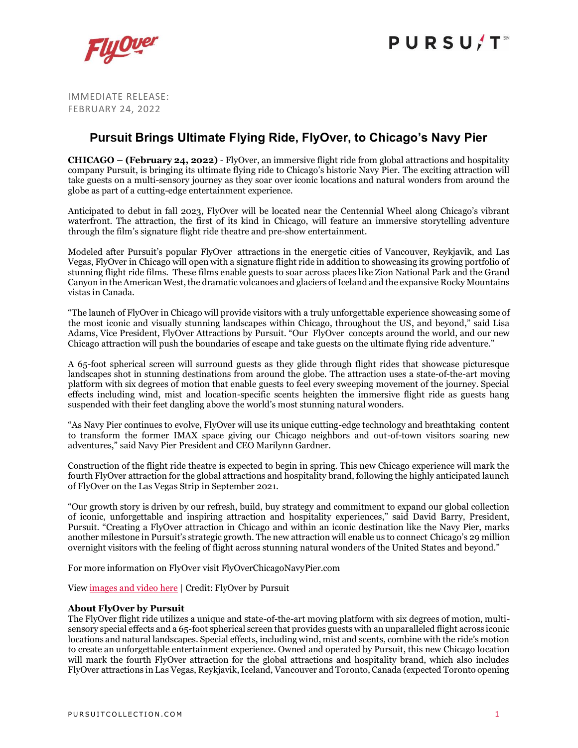

IMMEDIATE RELEASE: FEBRUARY 24, 2022

## **Pursuit Brings Ultimate Flying Ride, FlyOver, to Chicago's Navy Pier**

**CHICAGO – (February 24, 2022)** - FlyOver, an immersive flight ride from global attractions and hospitality company Pursuit, is bringing its ultimate flying ride to Chicago's historic Navy Pier. The exciting attraction will take guests on a multi-sensory journey as they soar over iconic locations and natural wonders from around the globe as part of a cutting-edge entertainment experience.

Anticipated to debut in fall 2023, FlyOver will be located near the Centennial Wheel along Chicago's vibrant waterfront. The attraction, the first of its kind in Chicago, will feature an immersive storytelling adventure through the film's signature flight ride theatre and pre-show entertainment.

Modeled after Pursuit's popular FlyOver attractions in the energetic cities of Vancouver, Reykjavik, and Las Vegas, FlyOver in Chicago will open with a signature flight ride in addition to showcasing its growing portfolio of stunning flight ride films. These films enable guests to soar across places like Zion National Park and the Grand Canyon in the American West, the dramatic volcanoes and glaciers of Iceland and the expansive Rocky Mountains vistas in Canada.

"The launch of FlyOver in Chicago will provide visitors with a truly unforgettable experience showcasing some of the most iconic and visually stunning landscapes within Chicago, throughout the US, and beyond," said Lisa Adams, Vice President, FlyOver Attractions by Pursuit. "Our FlyOver concepts around the world, and our new Chicago attraction will push the boundaries of escape and take guests on the ultimate flying ride adventure."

A 65-foot spherical screen will surround guests as they glide through flight rides that showcase picturesque landscapes shot in stunning destinations from around the globe. The attraction uses a state-of-the-art moving platform with six degrees of motion that enable guests to feel every sweeping movement of the journey. Special effects including wind, mist and location-specific scents heighten the immersive flight ride as guests hang suspended with their feet dangling above the world's most stunning natural wonders.

"As Navy Pier continues to evolve, FlyOver will use its unique cutting-edge technology and breathtaking content to transform the former IMAX space giving our Chicago neighbors and out-of-town visitors soaring new adventures," said Navy Pier President and CEO Marilynn Gardner.

Construction of the flight ride theatre is expected to begin in spring. This new Chicago experience will mark the fourth FlyOver attraction for the global attractions and hospitality brand, following the highly anticipated launch of FlyOver on the Las Vegas Strip in September 2021.

"Our growth story is driven by our refresh, build, buy strategy and commitment to expand our global collection of iconic, unforgettable and inspiring attraction and hospitality experiences," said David Barry, President, Pursuit. "Creating a FlyOver attraction in Chicago and within an iconic destination like the Navy Pier, marks another milestone in Pursuit's strategic growth. The new attraction will enable us to connect Chicago's 29 million overnight visitors with the feeling of flight across stunning natural wonders of the United States and beyond."

For more information on FlyOver visit FlyOverChicagoNavyPier.com

View [images](https://pursuitcollection.imagerelay.com/sb/11d677ea-d1de-4c6c-8eaa-7ce369698d9c/flyover-in-chicago-announcement) and video here | Credit: FlyOver by Pursuit

### **About FlyOver by Pursuit**

The FlyOver flight ride utilizes a unique and state-of-the-art moving platform with six degrees of motion, multisensory special effects and a 65-foot spherical screen that provides guests with an unparalleled flight across iconic locations and natural landscapes. Special effects, including wind, mist and scents, combine with the ride's motion to create an unforgettable entertainment experience. Owned and operated by Pursuit, this new Chicago location will mark the fourth FlyOver attraction for the global attractions and hospitality brand, which also includes FlyOver attractions in Las Vegas, Reykjavik, Iceland, Vancouver and Toronto, Canada (expected Toronto opening